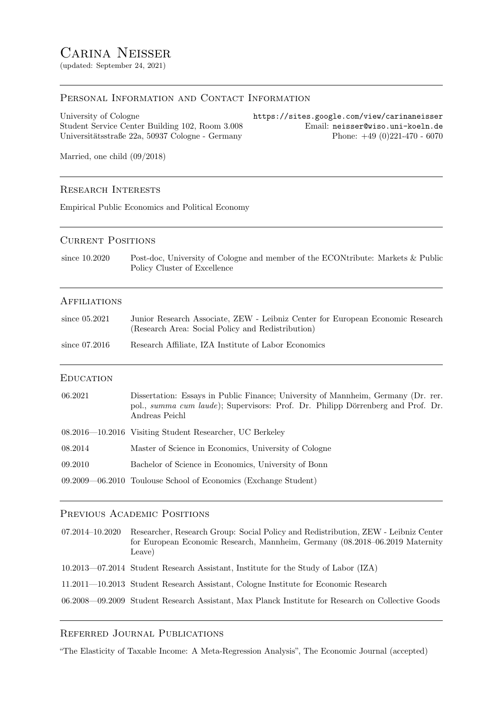(updated: September 24, 2021)

## PERSONAL INFORMATION AND CONTACT INFORMATION

University of Cologne https://sites.google.com/view/carinaneisser Student Service Center Building 102, Room 3.008 Email: neisser@wiso.uni-koeln.de Universitätsstraße 22a, 50937 Cologne - Germany Phone: +49 (0)221-470 - 6070

Married, one child (09/2018)

#### Research Interests

Empirical Public Economics and Political Economy

### CURRENT POSITIONS

since 10.2020 Post-doc, University of Cologne and member of the ECONtribute: Markets & Public Policy Cluster of Excellence

#### **AFFILIATIONS**

| since $05.2021$ | Junior Research Associate, ZEW - Leibniz Center for European Economic Research |
|-----------------|--------------------------------------------------------------------------------|
|                 | (Research Area: Social Policy and Redistribution)                              |

since 07.2016 Research Affiliate, IZA Institute of Labor Economics

### **EDUCATION**

| 06.2021 | Dissertation: Essays in Public Finance: University of Mannheim, Germany (Dr. rer.<br>pol., summa cum laude); Supervisors: Prof. Dr. Philipp Dörrenberg and Prof. Dr.<br>Andreas Peichl |
|---------|----------------------------------------------------------------------------------------------------------------------------------------------------------------------------------------|
|         | 08.2016—10.2016 Visiting Student Researcher, UC Berkeley                                                                                                                               |
| 08.2014 | Master of Science in Economics, University of Cologne                                                                                                                                  |
| 09.2010 | Bachelor of Science in Economics, University of Bonn                                                                                                                                   |
|         | 09.2009—06.2010 Toulouse School of Economics (Exchange Student)                                                                                                                        |

#### PREVIOUS ACADEMIC POSITIONS

07.2014–10.2020 Researcher, Research Group: Social Policy and Redistribution, ZEW - Leibniz Center for European Economic Research, Mannheim, Germany (08.2018–06.2019 Maternity Leave) 10.2013—07.2014 Student Research Assistant, Institute for the Study of Labor (IZA) 11.2011—10.2013 Student Research Assistant, Cologne Institute for Economic Research 06.2008—09.2009 Student Research Assistant, Max Planck Institute for Research on Collective Goods

## Referred Journal Publications

"The Elasticity of Taxable Income: A Meta-Regression Analysis", The Economic Journal (accepted)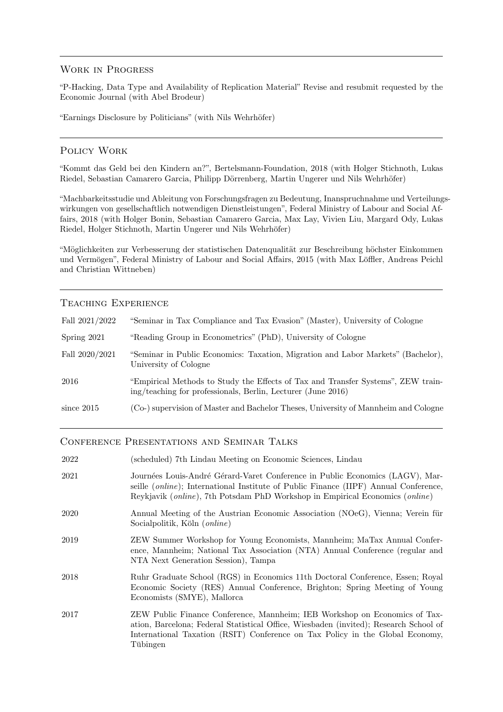## Work in Progress

"P-Hacking, Data Type and Availability of Replication Material" Revise and resubmit requested by the Economic Journal (with Abel Brodeur)

"Earnings Disclosure by Politicians" (with Nils Wehrhöfer)

## Policy Work

"Kommt das Geld bei den Kindern an?", Bertelsmann-Foundation, 2018 (with Holger Stichnoth, Lukas Riedel, Sebastian Camarero Garcia, Philipp Dörrenberg, Martin Ungerer und Nils Wehrhöfer)

"Machbarkeitsstudie und Ableitung von Forschungsfragen zu Bedeutung, Inanspruchnahme und Verteilungswirkungen von gesellschaftlich notwendigen Dienstleistungen", Federal Ministry of Labour and Social Affairs, 2018 (with Holger Bonin, Sebastian Camarero Garcia, Max Lay, Vivien Liu, Margard Ody, Lukas Riedel, Holger Stichnoth, Martin Ungerer und Nils Wehrhöfer)

"Möglichkeiten zur Verbesserung der statistischen Datenqualität zur Beschreibung höchster Einkommen und Vermögen", Federal Ministry of Labour and Social Affairs, 2015 (with Max Löffler, Andreas Peichl and Christian Wittneben)

# Teaching Experience

| Fall 2021/2022 | "Seminar in Tax Compliance and Tax Evasion" (Master), University of Cologne                                                                      |
|----------------|--------------------------------------------------------------------------------------------------------------------------------------------------|
| Spring 2021    | "Reading Group in Econometrics" (PhD), University of Cologne                                                                                     |
| Fall 2020/2021 | "Seminar in Public Economics: Taxation, Migration and Labor Markets" (Bachelor),<br>University of Cologne                                        |
| 2016           | "Empirical Methods to Study the Effects of Tax and Transfer Systems", ZEW train-<br>ing/teaching for professionals, Berlin, Lecturer (June 2016) |
| since $2015$   | (Co-) supervision of Master and Bachelor Theses, University of Mannheim and Cologne                                                              |

## Conference Presentations and Seminar Talks

| 2022 | (scheduled) 7th Lindau Meeting on Economic Sciences, Lindau                                                                                                                                                                                                          |
|------|----------------------------------------------------------------------------------------------------------------------------------------------------------------------------------------------------------------------------------------------------------------------|
| 2021 | Journées Louis-André Gérard-Varet Conference in Public Economics (LAGV), Mar-<br>seille <i>(online)</i> ; International Institute of Public Finance <i>(IIPF)</i> Annual Conference,<br>Reykjavik (online), 7th Potsdam PhD Workshop in Empirical Economics (online) |
| 2020 | Annual Meeting of the Austrian Economic Association (NOeG), Vienna; Verein für<br>Socialpolitik, Köln ( <i>online</i> )                                                                                                                                              |
| 2019 | ZEW Summer Workshop for Young Economists, Mannheim; MaTax Annual Confer-<br>ence, Mannheim; National Tax Association (NTA) Annual Conference (regular and<br>NTA Next Generation Session), Tampa                                                                     |
| 2018 | Ruhr Graduate School (RGS) in Economics 11th Doctoral Conference, Essen; Royal<br>Economic Society (RES) Annual Conference, Brighton; Spring Meeting of Young<br>Economists (SMYE), Mallorca                                                                         |
| 2017 | ZEW Public Finance Conference, Mannheim; IEB Workshop on Economics of Tax-<br>ation, Barcelona; Federal Statistical Office, Wiesbaden (invited); Research School of<br>International Taxation (RSIT) Conference on Tax Policy in the Global Economy,<br>Tübingen     |
|      |                                                                                                                                                                                                                                                                      |